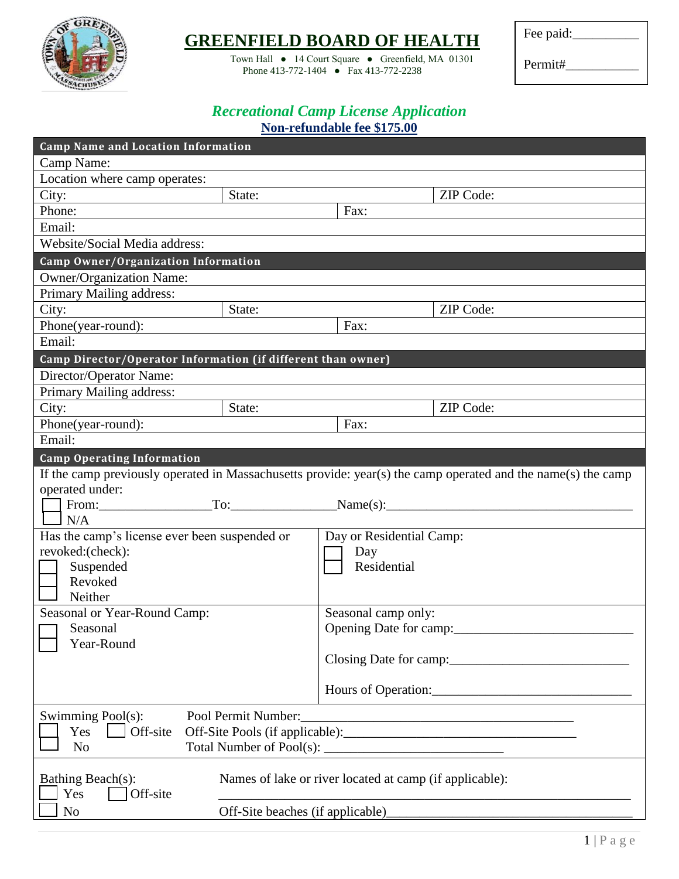

# **GREENFIELD BOARD OF HEALTH**

Town Hall ● 14 Court Square ● Greenfield, MA 01301 Phone 413-772-1404 ● Fax 413-772-2238

Fee paid:

Permit#\_\_\_\_\_\_\_\_\_\_\_

## *Recreational Camp License Application* **Non-refundable fee \$175.00**

| <b>Camp Name and Location Information</b>                    |                                                         |                          |                                                                                                              |  |
|--------------------------------------------------------------|---------------------------------------------------------|--------------------------|--------------------------------------------------------------------------------------------------------------|--|
| Camp Name:                                                   |                                                         |                          |                                                                                                              |  |
| Location where camp operates:                                |                                                         |                          |                                                                                                              |  |
| City:                                                        | State:                                                  |                          | ZIP Code:                                                                                                    |  |
| Phone:                                                       |                                                         | Fax:                     |                                                                                                              |  |
| Email:                                                       |                                                         |                          |                                                                                                              |  |
| Website/Social Media address:                                |                                                         |                          |                                                                                                              |  |
| Camp Owner/Organization Information                          |                                                         |                          |                                                                                                              |  |
| <b>Owner/Organization Name:</b>                              |                                                         |                          |                                                                                                              |  |
| Primary Mailing address:                                     |                                                         |                          |                                                                                                              |  |
| City:                                                        | State:                                                  |                          | ZIP Code:                                                                                                    |  |
| Phone(year-round):                                           |                                                         | Fax:                     |                                                                                                              |  |
| Email:                                                       |                                                         |                          |                                                                                                              |  |
| Camp Director/Operator Information (if different than owner) |                                                         |                          |                                                                                                              |  |
| Director/Operator Name:                                      |                                                         |                          |                                                                                                              |  |
| Primary Mailing address:                                     |                                                         |                          |                                                                                                              |  |
| City:                                                        | State:                                                  |                          | ZIP Code:                                                                                                    |  |
| Phone(year-round):                                           |                                                         | Fax:                     |                                                                                                              |  |
| Email:                                                       |                                                         |                          |                                                                                                              |  |
| <b>Camp Operating Information</b>                            |                                                         |                          |                                                                                                              |  |
|                                                              |                                                         |                          | If the camp previously operated in Massachusetts provide: year(s) the camp operated and the name(s) the camp |  |
| operated under:                                              |                                                         |                          |                                                                                                              |  |
|                                                              |                                                         |                          | From: $\hspace{1.5cm} \text{To:} \hspace{1.5cm} \text{Name(s):}$                                             |  |
| N/A                                                          |                                                         |                          |                                                                                                              |  |
| Has the camp's license ever been suspended or                |                                                         | Day or Residential Camp: |                                                                                                              |  |
| revoked:(check):                                             |                                                         | Day<br>Residential       |                                                                                                              |  |
| Suspended<br>Revoked                                         |                                                         |                          |                                                                                                              |  |
| Neither                                                      |                                                         |                          |                                                                                                              |  |
| Seasonal or Year-Round Camp:                                 |                                                         | Seasonal camp only:      |                                                                                                              |  |
| Seasonal                                                     |                                                         | Opening Date for camp:   |                                                                                                              |  |
| Year-Round                                                   |                                                         |                          |                                                                                                              |  |
|                                                              |                                                         |                          | Closing Date for camp:                                                                                       |  |
|                                                              |                                                         |                          |                                                                                                              |  |
| Swimming Pool(s):<br>Pool Permit Number:                     |                                                         |                          |                                                                                                              |  |
| Off-site<br>Yes                                              |                                                         |                          |                                                                                                              |  |
| N <sub>o</sub>                                               |                                                         |                          |                                                                                                              |  |
| Bathing Beach(s):<br>Yes<br>Off-site                         | Names of lake or river located at camp (if applicable): |                          |                                                                                                              |  |
| N <sub>o</sub>                                               | Off-Site beaches (if applicable)_                       |                          |                                                                                                              |  |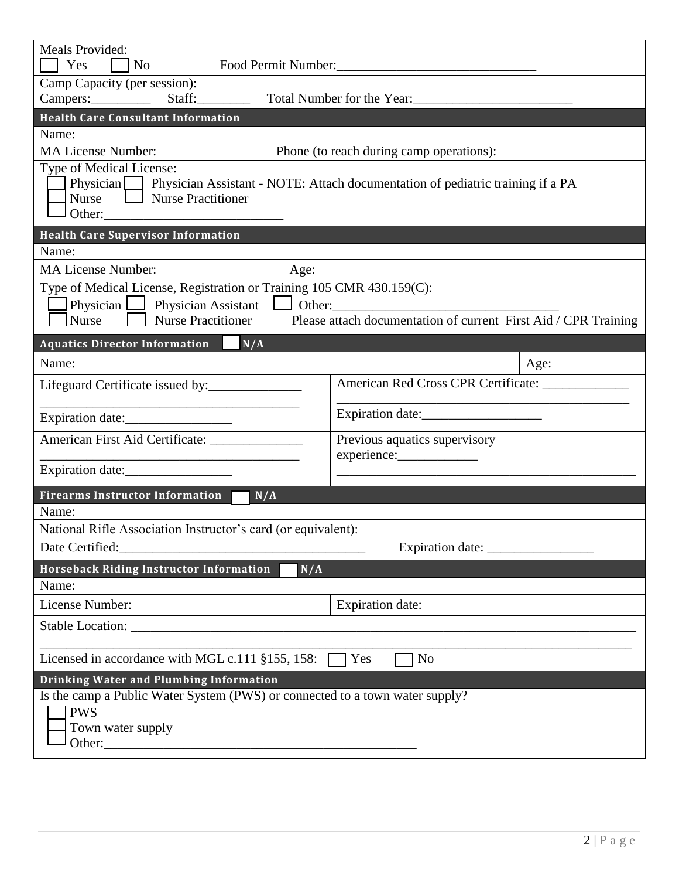| Meals Provided:<br>Yes<br>$\overline{\rm No}$                                                                                                                                                                                      | Food Permit Number:                          |  |  |  |
|------------------------------------------------------------------------------------------------------------------------------------------------------------------------------------------------------------------------------------|----------------------------------------------|--|--|--|
| Camp Capacity (per session):                                                                                                                                                                                                       |                                              |  |  |  |
| Campers: Staff: Staff: Total Number for the Year:                                                                                                                                                                                  |                                              |  |  |  |
| <b>Health Care Consultant Information</b>                                                                                                                                                                                          |                                              |  |  |  |
| Name:                                                                                                                                                                                                                              |                                              |  |  |  |
| <b>MA License Number:</b>                                                                                                                                                                                                          | Phone (to reach during camp operations):     |  |  |  |
| Type of Medical License:<br>Physician Physician Assistant - NOTE: Attach documentation of pediatric training if a PA<br>Nurse   Nurse Practitioner<br>Other:                                                                       |                                              |  |  |  |
| <b>Health Care Supervisor Information</b><br>Name:                                                                                                                                                                                 |                                              |  |  |  |
| <b>MA License Number:</b><br>Age:                                                                                                                                                                                                  |                                              |  |  |  |
| Type of Medical License, Registration or Training 105 CMR 430.159(C):<br>Physician Physician Assistant Other: 0.01 Other:<br>Please attach documentation of current First Aid / CPR Training<br><b>Nurse Practitioner</b><br>Nurse |                                              |  |  |  |
| Aquatics Director Information N/A                                                                                                                                                                                                  |                                              |  |  |  |
| Name:                                                                                                                                                                                                                              | Age:                                         |  |  |  |
| Lifeguard Certificate issued by:                                                                                                                                                                                                   | American Red Cross CPR Certificate:          |  |  |  |
| Expiration date:                                                                                                                                                                                                                   | Expiration date:                             |  |  |  |
| American First Aid Certificate: _______________                                                                                                                                                                                    | Previous aquatics supervisory<br>experience: |  |  |  |
| Expiration date:                                                                                                                                                                                                                   |                                              |  |  |  |
| <b>Firearms Instructor Information</b><br>N/A                                                                                                                                                                                      |                                              |  |  |  |
| Name:                                                                                                                                                                                                                              |                                              |  |  |  |
| National Rifle Association Instructor's card (or equivalent):<br>Date Certified:                                                                                                                                                   |                                              |  |  |  |
|                                                                                                                                                                                                                                    |                                              |  |  |  |
| Horseback Riding Instructor Information<br>N/A<br>Name:                                                                                                                                                                            |                                              |  |  |  |
| License Number:                                                                                                                                                                                                                    | <b>Expiration date:</b>                      |  |  |  |
| Stable Location: New York Contract of the Contract of the Contract of the Contract of the Contract of the Contract of the Contract of the Contract of the Contract of the Contract of the Contract of the Contract of the Cont     |                                              |  |  |  |
| Licensed in accordance with MGL c.111 §155, 158:<br>N <sub>o</sub><br>Yes                                                                                                                                                          |                                              |  |  |  |
| Drinking Water and Plumbing Information                                                                                                                                                                                            |                                              |  |  |  |
| Is the camp a Public Water System (PWS) or connected to a town water supply?<br><b>PWS</b><br>Town water supply                                                                                                                    |                                              |  |  |  |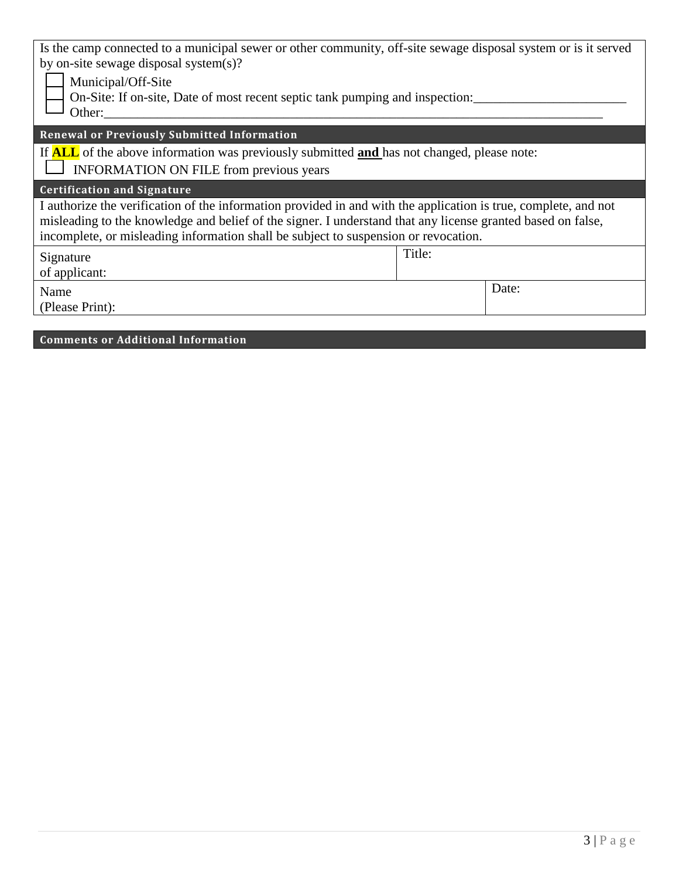| Is the camp connected to a municipal sewer or other community, off-site sewage disposal system or is it served<br>by on-site sewage disposal system(s)?<br>Municipal/Off-Site<br>On-Site: If on-site, Date of most recent septic tank pumping and inspection:<br>Other:                                               |        |  |  |
|-----------------------------------------------------------------------------------------------------------------------------------------------------------------------------------------------------------------------------------------------------------------------------------------------------------------------|--------|--|--|
| <b>Renewal or Previously Submitted Information</b>                                                                                                                                                                                                                                                                    |        |  |  |
| If <b>ALL</b> of the above information was previously submitted <b>and</b> has not changed, please note:<br><b>INFORMATION ON FILE from previous years</b>                                                                                                                                                            |        |  |  |
| <b>Certification and Signature</b>                                                                                                                                                                                                                                                                                    |        |  |  |
| I authorize the verification of the information provided in and with the application is true, complete, and not<br>misleading to the knowledge and belief of the signer. I understand that any license granted based on false,<br>incomplete, or misleading information shall be subject to suspension or revocation. |        |  |  |
| Signature<br>of applicant:                                                                                                                                                                                                                                                                                            | Title: |  |  |
| Name<br>(Please Print):                                                                                                                                                                                                                                                                                               | Date:  |  |  |

## **Comments or Additional Information**